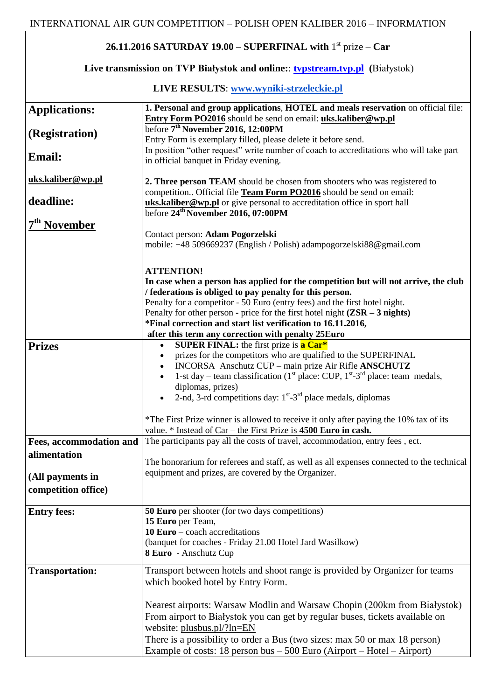## **26.11.2016 SATURDAY 19.00 – SUPERFINAL with** 1 st prize – **Car**

## **Live transmission on TVP Białystok and online:**: **[tvpstream.tvp.pl](http://tvpstream.tvp.pl/) (**Białystok)

## **LIVE RESULTS**: **[www.wyniki-strzeleckie.pl](http://www.wyniki-strzeleckie.pl/)**

| <b>Applications:</b>     | 1. Personal and group applications, HOTEL and meals reservation on official file:             |
|--------------------------|-----------------------------------------------------------------------------------------------|
|                          | Entry Form PO2016 should be send on email: uks.kaliber@wp.pl                                  |
| (Registration)           | before 7 <sup>th</sup> November 2016, 12:00PM                                                 |
|                          | Entry Form is exemplary filled, please delete it before send.                                 |
|                          | In position "other request" write number of coach to accreditations who will take part        |
| <b>Email:</b>            | in official banquet in Friday evening.                                                        |
| uks.kaliber@wp.pl        | 2. Three person TEAM should be chosen from shooters who was registered to                     |
|                          | competition Official file Team Form PO2016 should be send on email:                           |
| deadline:                | uks.kaliber@wp.pl or give personal to accreditation office in sport hall                      |
|                          | before 24 <sup>th</sup> November 2016, 07:00PM                                                |
| 7 <sup>th</sup> November |                                                                                               |
|                          | Contact person: Adam Pogorzelski                                                              |
|                          | mobile: +48 509669237 (English / Polish) adampogorzelski88@gmail.com                          |
|                          |                                                                                               |
|                          | <b>ATTENTION!</b>                                                                             |
|                          | In case when a person has applied for the competition but will not arrive, the club           |
|                          | / federations is obliged to pay penalty for this person.                                      |
|                          | Penalty for a competitor - 50 Euro (entry fees) and the first hotel night.                    |
|                          | Penalty for other person - price for the first hotel night $(ZSR - 3$ nights)                 |
|                          | *Final correction and start list verification to 16.11.2016,                                  |
|                          | after this term any correction with penalty 25Euro                                            |
| <b>Prizes</b>            | <b>SUPER FINAL:</b> the first prize is <b>a Car*</b><br>$\bullet$                             |
|                          | prizes for the competitors who are qualified to the SUPERFINAL                                |
|                          | INCORSA Anschutz CUP - main prize Air Rifle ANSCHUTZ<br>$\bullet$                             |
|                          | 1-st day – team classification ( $1st$ place: CUP, $1st$ -3 <sup>rd</sup> place: team medals, |
|                          | diplomas, prizes)                                                                             |
|                          | 2-nd, 3-rd competitions day: $1^{st}$ -3 <sup>rd</sup> place medals, diplomas                 |
|                          | *The First Prize winner is allowed to receive it only after paying the 10% tax of its         |
|                          | value. $*$ Instead of Car – the First Prize is 4500 Euro in cash.                             |
| Fees, accommodation and  | The participants pay all the costs of travel, accommodation, entry fees, ect.                 |
|                          |                                                                                               |
| alimentation             | The honorarium for referees and staff, as well as all expenses connected to the technical     |
|                          | equipment and prizes, are covered by the Organizer.                                           |
| (All payments in         |                                                                                               |
| competition office)      |                                                                                               |
| <b>Entry fees:</b>       | <b>50 Euro</b> per shooter (for two days competitions)                                        |
|                          | 15 Euro per Team,                                                                             |
|                          | $10 Euro - coach$<br>acceltations                                                             |
|                          | (banquet for coaches - Friday 21.00 Hotel Jard Wasilkow)                                      |
|                          | 8 Euro - Anschutz Cup                                                                         |
|                          |                                                                                               |
| <b>Transportation:</b>   | Transport between hotels and shoot range is provided by Organizer for teams                   |
|                          | which booked hotel by Entry Form.                                                             |
|                          |                                                                                               |
|                          | Nearest airports: Warsaw Modlin and Warsaw Chopin (200km from Białystok)                      |
|                          | From airport to Białystok you can get by regular buses, tickets available on                  |
|                          | website: plusbus.pl/?ln=EN                                                                    |
|                          | There is a possibility to order a Bus (two sizes: max 50 or max 18 person)                    |
|                          | Example of costs: 18 person bus $-500$ Euro (Airport $-$ Hotel $-$ Airport)                   |
|                          |                                                                                               |